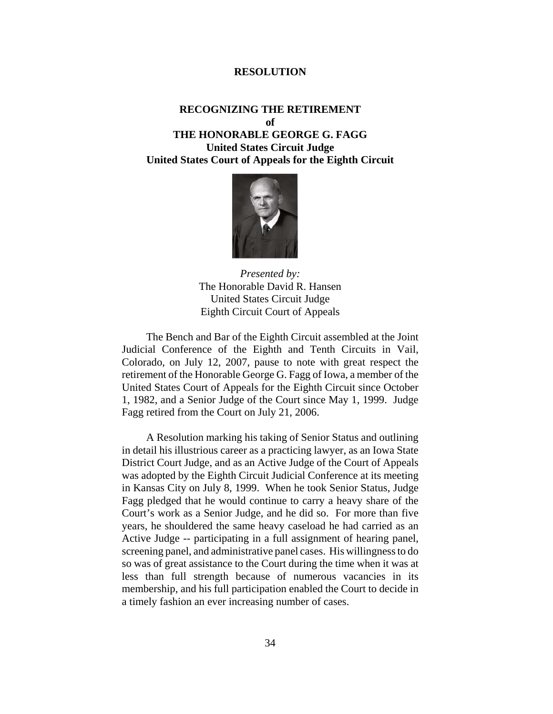## **RESOLUTION**

## **RECOGNIZING THE RETIREMENT of THE HONORABLE GEORGE G. FAGG United States Circuit Judge United States Court of Appeals for the Eighth Circuit**



*Presented by:* The Honorable David R. Hansen United States Circuit Judge Eighth Circuit Court of Appeals

The Bench and Bar of the Eighth Circuit assembled at the Joint Judicial Conference of the Eighth and Tenth Circuits in Vail, Colorado, on July 12, 2007, pause to note with great respect the retirement of the Honorable George G. Fagg of Iowa, a member of the United States Court of Appeals for the Eighth Circuit since October 1, 1982, and a Senior Judge of the Court since May 1, 1999. Judge Fagg retired from the Court on July 21, 2006.

A Resolution marking his taking of Senior Status and outlining in detail his illustrious career as a practicing lawyer, as an Iowa State District Court Judge, and as an Active Judge of the Court of Appeals was adopted by the Eighth Circuit Judicial Conference at its meeting in Kansas City on July 8, 1999. When he took Senior Status, Judge Fagg pledged that he would continue to carry a heavy share of the Court's work as a Senior Judge, and he did so. For more than five years, he shouldered the same heavy caseload he had carried as an Active Judge -- participating in a full assignment of hearing panel, screening panel, and administrative panel cases. His willingness to do so was of great assistance to the Court during the time when it was at less than full strength because of numerous vacancies in its membership, and his full participation enabled the Court to decide in a timely fashion an ever increasing number of cases.